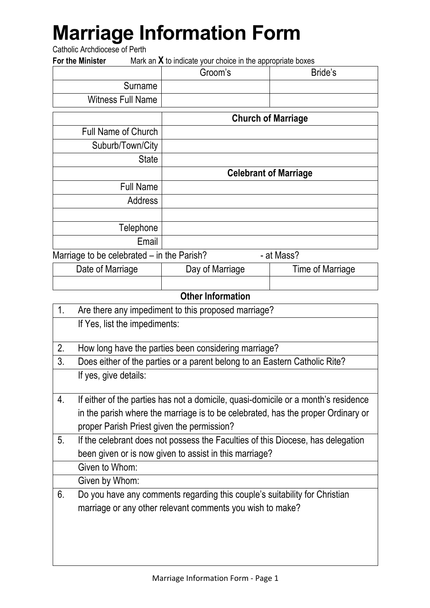# **Marriage Information Form**

Catholic Archdiocese of Perth

**For the Minister** Mark an **X** to indicate your choice in the appropriate boxes

|                                            | Groom's |                              | Bride's |
|--------------------------------------------|---------|------------------------------|---------|
| Surname                                    |         |                              |         |
| <b>Witness Full Name</b>                   |         |                              |         |
|                                            |         | <b>Church of Marriage</b>    |         |
| <b>Full Name of Church</b>                 |         |                              |         |
| Suburb/Town/City                           |         |                              |         |
| <b>State</b>                               |         |                              |         |
|                                            |         | <b>Celebrant of Marriage</b> |         |
| <b>Full Name</b>                           |         |                              |         |
| Address                                    |         |                              |         |
|                                            |         |                              |         |
| Telephone                                  |         |                              |         |
| Email                                      |         |                              |         |
| Marriage to be celebrated - in the Parish? |         | - at Mass?                   |         |

| Date of Marriage | Day of Marriage | Time of Marriage |
|------------------|-----------------|------------------|
|                  |                 |                  |

#### **Other Information**

| 1. | Are there any impediment to this proposed marriage?                                |
|----|------------------------------------------------------------------------------------|
|    | If Yes, list the impediments:                                                      |
|    |                                                                                    |
| 2. | How long have the parties been considering marriage?                               |
| 3. | Does either of the parties or a parent belong to an Eastern Catholic Rite?         |
|    | If yes, give details:                                                              |
|    |                                                                                    |
| 4. | If either of the parties has not a domicile, quasi-domicile or a month's residence |
|    | in the parish where the marriage is to be celebrated, has the proper Ordinary or   |
|    | proper Parish Priest given the permission?                                         |
| 5. | If the celebrant does not possess the Faculties of this Diocese, has delegation    |
|    | been given or is now given to assist in this marriage?                             |
|    | Given to Whom:                                                                     |
|    | Given by Whom:                                                                     |
| 6. | Do you have any comments regarding this couple's suitability for Christian         |
|    | marriage or any other relevant comments you wish to make?                          |
|    |                                                                                    |
|    |                                                                                    |
|    |                                                                                    |
|    |                                                                                    |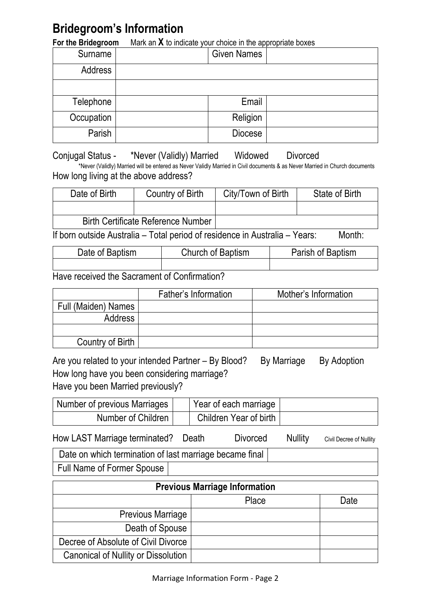### **Bridegroom's Information**

**For the Bridegroom** Mark an **X** to indicate your choice in the appropriate boxes

| Surname    | <b>Given Names</b> |  |
|------------|--------------------|--|
| Address    |                    |  |
|            |                    |  |
| Telephone  | Email              |  |
| Occupation | Religion           |  |
| Parish     | <b>Diocese</b>     |  |

Conjugal Status - \*Never (Validly) Married Widowed Divorced \*Never (Validly) Married will be entered as Never Validly Married in Civil documents & as Never Married in Church documents How long living at the above address?

| Date of Birth                             | Country of Birth | City/Town of Birth | State of Birth |
|-------------------------------------------|------------------|--------------------|----------------|
|                                           |                  |                    |                |
| <b>Birth Certificate Reference Number</b> |                  |                    |                |

If born outside Australia – Total period of residence in Australia – Years: Month:

| Date of Baptism | Church of Baptism | Parish of Baptism |
|-----------------|-------------------|-------------------|
|                 |                   |                   |

Have received the Sacrament of Confirmation?

|                     | Father's Information | Mother's Information |
|---------------------|----------------------|----------------------|
| Full (Maiden) Names |                      |                      |
| Address             |                      |                      |
|                     |                      |                      |
| Country of Birth    |                      |                      |

Are you related to your intended Partner – By Blood? By Marriage By Adoption How long have you been considering marriage? Have you been Married previously?

| Number of previous Marriages | Year of each marriage  |  |
|------------------------------|------------------------|--|
| Number of Children           | Children Year of birth |  |

| How LAST Marriage terminated? Death | Divorced | Nullity | Civil Decree of Nullity |
|-------------------------------------|----------|---------|-------------------------|
|                                     |          |         |                         |

Date on which termination of last marriage became final Full Name of Former Spouse

| <b>Previous Marriage Information</b>       |       |      |  |
|--------------------------------------------|-------|------|--|
|                                            | Place | Date |  |
| <b>Previous Marriage</b>                   |       |      |  |
| Death of Spouse                            |       |      |  |
| Decree of Absolute of Civil Divorce        |       |      |  |
| <b>Canonical of Nullity or Dissolution</b> |       |      |  |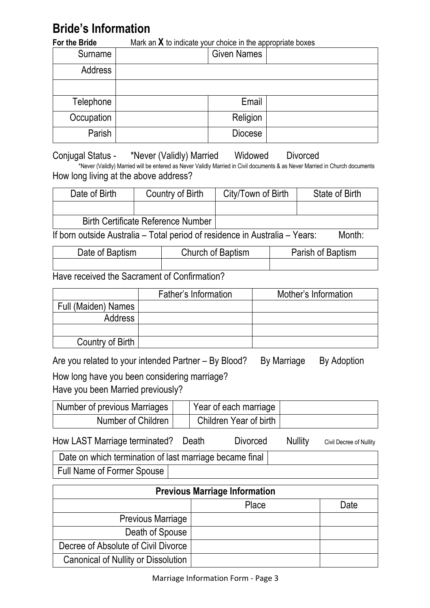## **Bride's Information**

| For the Bride | Mark an $X$ to indicate your choice in the appropriate boxes |  |  |
|---------------|--------------------------------------------------------------|--|--|
| Surname       | <b>Given Names</b>                                           |  |  |
| Address       |                                                              |  |  |
|               |                                                              |  |  |
| Telephone     | Email                                                        |  |  |
| Occupation    | Religion                                                     |  |  |
| Parish        | <b>Diocese</b>                                               |  |  |

Conjugal Status - \*Never (Validly) Married Widowed Divorced \*Never (Validly) Married will be entered as Never Validly Married in Civil documents & as Never Married in Church documents How long living at the above address?

| Date of Birth | Country of Birth                          | City/Town of Birth | State of Birth |
|---------------|-------------------------------------------|--------------------|----------------|
|               |                                           |                    |                |
|               | <b>Birth Certificate Reference Number</b> |                    |                |
| .             |                                           |                    | .              |

If born outside Australia – Total period of residence in Australia – Years: Month:

| Date of Baptism | Church of Baptism | Parish of Baptism |
|-----------------|-------------------|-------------------|
|                 |                   |                   |

Have received the Sacrament of Confirmation?

|                     | Father's Information | Mother's Information |
|---------------------|----------------------|----------------------|
| Full (Maiden) Names |                      |                      |
| <b>Address</b>      |                      |                      |
|                     |                      |                      |
| Country of Birth    |                      |                      |

Are you related to your intended Partner – By Blood? By Marriage By Adoption

How long have you been considering marriage?

Have you been Married previously?

| Number of previous Marriages <sup>1</sup> | Year of each marriage  |  |
|-------------------------------------------|------------------------|--|
| Number of Children                        | Children Year of birth |  |

How LAST Marriage terminated? Death Divorced Nullity Civil Decree of Nullity

Date on which termination of last marriage became final Full Name of Former Spouse

| <b>Previous Marriage Information</b>       |       |      |  |  |
|--------------------------------------------|-------|------|--|--|
|                                            | Place | Date |  |  |
| <b>Previous Marriage</b>                   |       |      |  |  |
| Death of Spouse                            |       |      |  |  |
| Decree of Absolute of Civil Divorce        |       |      |  |  |
| <b>Canonical of Nullity or Dissolution</b> |       |      |  |  |